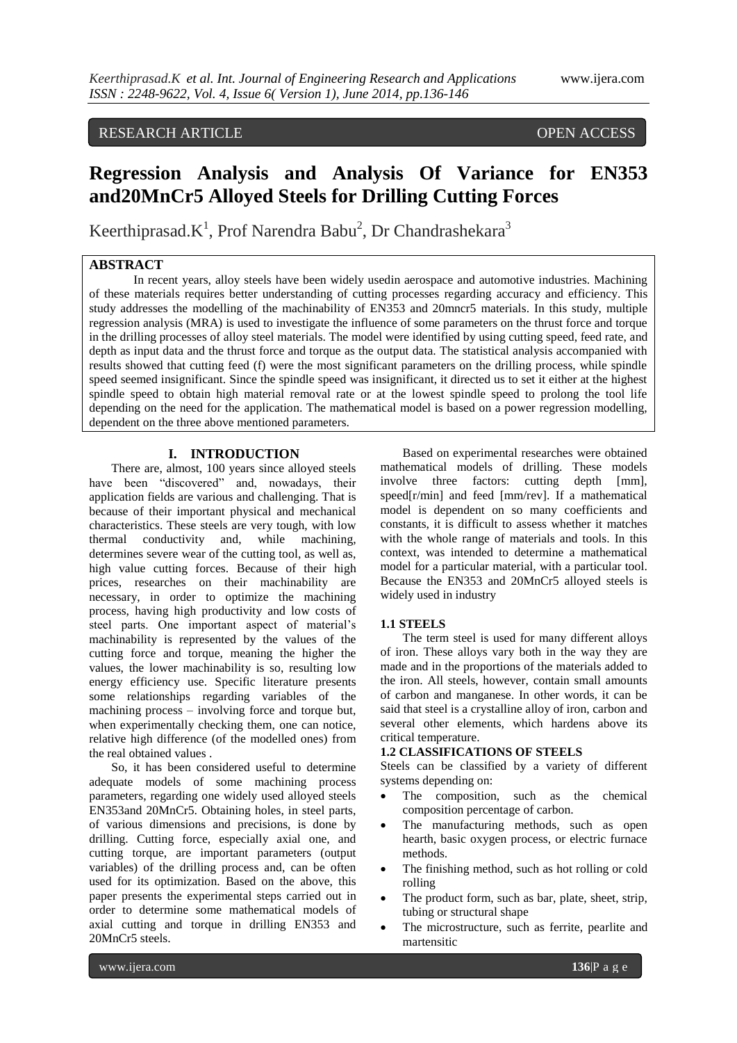# RESEARCH ARTICLE OPEN ACCESS

# **Regression Analysis and Analysis Of Variance for EN353 and20MnCr5 Alloyed Steels for Drilling Cutting Forces**

Keerthiprasad. $K^1$ , Prof Narendra Babu<sup>2</sup>, Dr Chandrashekara<sup>3</sup>

## **ABSTRACT**

In recent years, alloy steels have been widely usedin aerospace and automotive industries. Machining of these materials requires better understanding of cutting processes regarding accuracy and efficiency. This study addresses the modelling of the machinability of EN353 and 20mncr5 materials. In this study, multiple regression analysis (MRA) is used to investigate the influence of some parameters on the thrust force and torque in the drilling processes of alloy steel materials. The model were identified by using cutting speed, feed rate, and depth as input data and the thrust force and torque as the output data. The statistical analysis accompanied with results showed that cutting feed (f) were the most significant parameters on the drilling process, while spindle speed seemed insignificant. Since the spindle speed was insignificant, it directed us to set it either at the highest spindle speed to obtain high material removal rate or at the lowest spindle speed to prolong the tool life depending on the need for the application. The mathematical model is based on a power regression modelling, dependent on the three above mentioned parameters.

#### **I. INTRODUCTION**

There are, almost, 100 years since alloyed steels have been "discovered" and, nowadays, their application fields are various and challenging. That is because of their important physical and mechanical characteristics. These steels are very tough, with low thermal conductivity and, while machining, determines severe wear of the cutting tool, as well as, high value cutting forces. Because of their high prices, researches on their machinability are necessary, in order to optimize the machining process, having high productivity and low costs of steel parts. One important aspect of material's machinability is represented by the values of the cutting force and torque, meaning the higher the values, the lower machinability is so, resulting low energy efficiency use. Specific literature presents some relationships regarding variables of the machining process – involving force and torque but, when experimentally checking them, one can notice, relative high difference (of the modelled ones) from the real obtained values .

So, it has been considered useful to determine adequate models of some machining process parameters, regarding one widely used alloyed steels EN353and 20MnCr5. Obtaining holes, in steel parts, of various dimensions and precisions, is done by drilling. Cutting force, especially axial one, and cutting torque, are important parameters (output variables) of the drilling process and, can be often used for its optimization. Based on the above, this paper presents the experimental steps carried out in order to determine some mathematical models of axial cutting and torque in drilling EN353 and 20MnCr5 steels.

Based on experimental researches were obtained mathematical models of drilling. These models involve three factors: cutting depth [mm], speed[r/min] and feed [mm/rev]. If a mathematical model is dependent on so many coefficients and constants, it is difficult to assess whether it matches with the whole range of materials and tools. In this context, was intended to determine a mathematical model for a particular material, with a particular tool. Because the EN353 and 20MnCr5 alloyed steels is widely used in industry

### **1.1 STEELS**

The term steel is used for many different alloys of iron. These alloys vary both in the way they are made and in the proportions of the materials added to the iron. All steels, however, contain small amounts of carbon and manganese. In other words, it can be said that steel is a crystalline alloy of iron, carbon and several other elements, which hardens above its critical temperature.

#### **1.2 CLASSIFICATIONS OF STEELS**

Steels can be classified by a variety of different systems depending on:

- The composition, such as the chemical composition percentage of carbon.
- The manufacturing methods, such as open hearth, basic oxygen process, or electric furnace methods.
- The finishing method, such as hot rolling or cold rolling
- The product form, such as bar, plate, sheet, strip, tubing or structural shape
- The microstructure, such as ferrite, pearlite and martensitic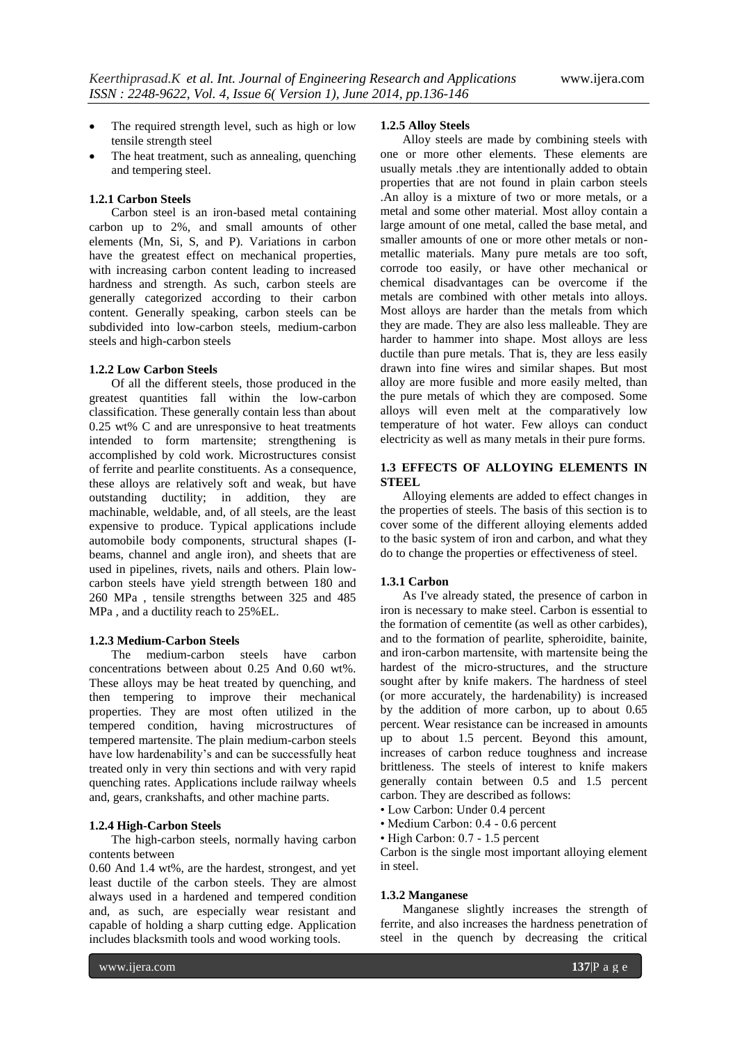- The required strength level, such as high or low tensile strength steel
- The heat treatment, such as annealing, quenching and tempering steel.

### **1.2.1 Carbon Steels**

Carbon steel is an iron-based metal containing carbon up to 2%, and small amounts of other elements (Mn, Si, S, and P). Variations in carbon have the greatest effect on mechanical properties, with increasing carbon content leading to increased hardness and strength. As such, carbon steels are generally categorized according to their carbon content. Generally speaking, carbon steels can be subdivided into low-carbon steels, medium-carbon steels and high-carbon steels

### **1.2.2 Low Carbon Steels**

Of all the different steels, those produced in the greatest quantities fall within the low-carbon classification. These generally contain less than about 0.25 wt% C and are unresponsive to heat treatments intended to form martensite; strengthening is accomplished by cold work. Microstructures consist of ferrite and pearlite constituents. As a consequence, these alloys are relatively soft and weak, but have outstanding ductility; in addition, they are machinable, weldable, and, of all steels, are the least expensive to produce. Typical applications include automobile body components, structural shapes (Ibeams, channel and angle iron), and sheets that are used in pipelines, rivets, nails and others. Plain lowcarbon steels have yield strength between 180 and 260 MPa , tensile strengths between 325 and 485 MPa , and a ductility reach to 25%EL.

### **1.2.3 Medium-Carbon Steels**

The medium-carbon steels have carbon concentrations between about 0.25 And 0.60 wt%. These alloys may be heat treated by quenching, and then tempering to improve their mechanical properties. They are most often utilized in the tempered condition, having microstructures of tempered martensite. The plain medium-carbon steels have low hardenability's and can be successfully heat treated only in very thin sections and with very rapid quenching rates. Applications include railway wheels and, gears, crankshafts, and other machine parts.

#### **1.2.4 High-Carbon Steels**

The high-carbon steels, normally having carbon contents between

0.60 And 1.4 wt%, are the hardest, strongest, and yet least ductile of the carbon steels. They are almost always used in a hardened and tempered condition and, as such, are especially wear resistant and capable of holding a sharp cutting edge. Application includes blacksmith tools and wood working tools.

#### **1.2.5 Alloy Steels**

Alloy steels are made by combining steels with one or more other elements. These elements are usually metals .they are intentionally added to obtain properties that are not found in plain carbon steels .An alloy is a mixture of two or more metals, or a metal and some other material. Most alloy contain a large amount of one metal, called the base metal, and smaller amounts of one or more other metals or nonmetallic materials. Many pure metals are too soft, corrode too easily, or have other mechanical or chemical disadvantages can be overcome if the metals are combined with other metals into alloys. Most alloys are harder than the metals from which they are made. They are also less malleable. They are harder to hammer into shape. Most alloys are less ductile than pure metals. That is, they are less easily drawn into fine wires and similar shapes. But most alloy are more fusible and more easily melted, than the pure metals of which they are composed. Some alloys will even melt at the comparatively low temperature of hot water. Few alloys can conduct electricity as well as many metals in their pure forms.

### **1.3 EFFECTS OF ALLOYING ELEMENTS IN STEEL**

Alloying elements are added to effect changes in the properties of steels. The basis of this section is to cover some of the different alloying elements added to the basic system of iron and carbon, and what they do to change the properties or effectiveness of steel.

#### **1.3.1 Carbon**

As I've already stated, the presence of carbon in iron is necessary to make steel. Carbon is essential to the formation of cementite (as well as other carbides), and to the formation of pearlite, spheroidite, bainite, and iron-carbon martensite, with martensite being the hardest of the micro-structures, and the structure sought after by knife makers. The hardness of steel (or more accurately, the hardenability) is increased by the addition of more carbon, up to about 0.65 percent. Wear resistance can be increased in amounts up to about 1.5 percent. Beyond this amount, increases of carbon reduce toughness and increase brittleness. The steels of interest to knife makers generally contain between 0.5 and 1.5 percent carbon. They are described as follows:

- Low Carbon: Under 0.4 percent
- Medium Carbon: 0.4 0.6 percent
- High Carbon: 0.7 1.5 percent

Carbon is the single most important alloying element in steel.

#### **1.3.2 Manganese**

Manganese slightly increases the strength of ferrite, and also increases the hardness penetration of steel in the quench by decreasing the critical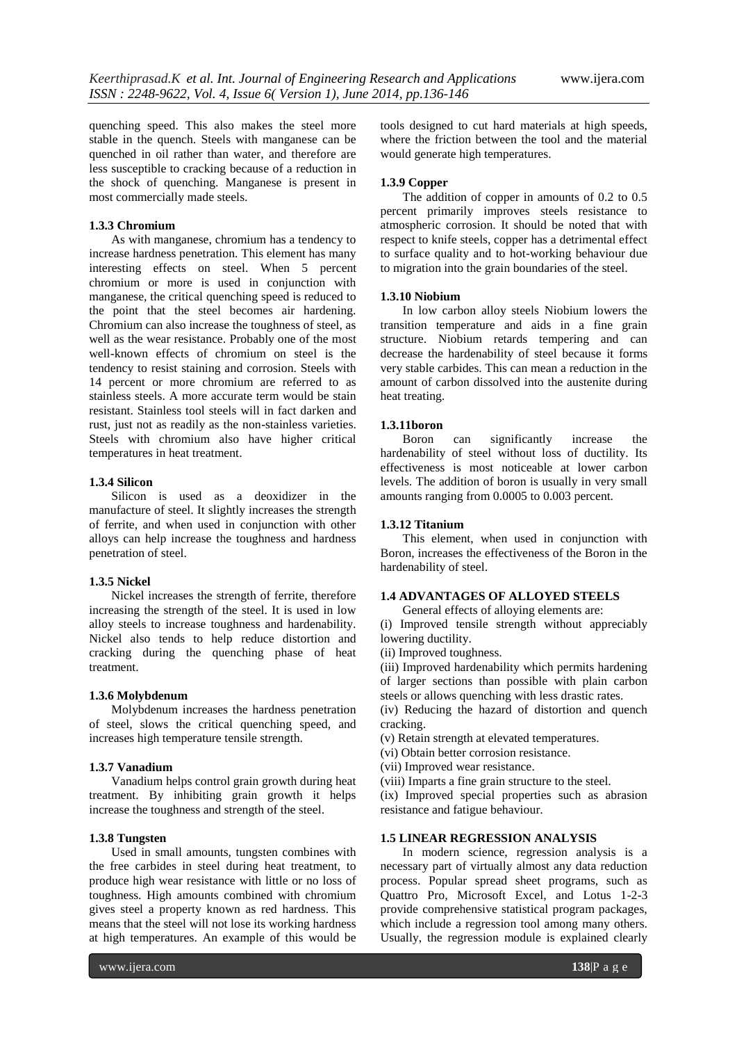quenching speed. This also makes the steel more stable in the quench. Steels with manganese can be quenched in oil rather than water, and therefore are less susceptible to cracking because of a reduction in the shock of quenching. Manganese is present in most commercially made steels.

#### **1.3.3 Chromium**

As with manganese, chromium has a tendency to increase hardness penetration. This element has many interesting effects on steel. When 5 percent chromium or more is used in conjunction with manganese, the critical quenching speed is reduced to the point that the steel becomes air hardening. Chromium can also increase the toughness of steel, as well as the wear resistance. Probably one of the most well-known effects of chromium on steel is the tendency to resist staining and corrosion. Steels with 14 percent or more chromium are referred to as stainless steels. A more accurate term would be stain resistant. Stainless tool steels will in fact darken and rust, just not as readily as the non-stainless varieties. Steels with chromium also have higher critical temperatures in heat treatment.

### **1.3.4 Silicon**

Silicon is used as a deoxidizer in the manufacture of steel. It slightly increases the strength of ferrite, and when used in conjunction with other alloys can help increase the toughness and hardness penetration of steel.

### **1.3.5 Nickel**

Nickel increases the strength of ferrite, therefore increasing the strength of the steel. It is used in low alloy steels to increase toughness and hardenability. Nickel also tends to help reduce distortion and cracking during the quenching phase of heat treatment.

### **1.3.6 Molybdenum**

Molybdenum increases the hardness penetration of steel, slows the critical quenching speed, and increases high temperature tensile strength.

### **1.3.7 Vanadium**

Vanadium helps control grain growth during heat treatment. By inhibiting grain growth it helps increase the toughness and strength of the steel.

#### **1.3.8 Tungsten**

Used in small amounts, tungsten combines with the free carbides in steel during heat treatment, to produce high wear resistance with little or no loss of toughness. High amounts combined with chromium gives steel a property known as red hardness. This means that the steel will not lose its working hardness at high temperatures. An example of this would be

tools designed to cut hard materials at high speeds, where the friction between the tool and the material would generate high temperatures.

### **1.3.9 Copper**

The addition of copper in amounts of 0.2 to 0.5 percent primarily improves steels resistance to atmospheric corrosion. It should be noted that with respect to knife steels, copper has a detrimental effect to surface quality and to hot-working behaviour due to migration into the grain boundaries of the steel.

#### **1.3.10 Niobium**

In low carbon alloy steels Niobium lowers the transition temperature and aids in a fine grain structure. Niobium retards tempering and can decrease the hardenability of steel because it forms very stable carbides. This can mean a reduction in the amount of carbon dissolved into the austenite during heat treating.

#### **1.3.11boron**

Boron can significantly increase the hardenability of steel without loss of ductility. Its effectiveness is most noticeable at lower carbon levels. The addition of boron is usually in very small amounts ranging from 0.0005 to 0.003 percent.

### **1.3.12 Titanium**

This element, when used in conjunction with Boron, increases the effectiveness of the Boron in the hardenability of steel.

### **1.4 ADVANTAGES OF ALLOYED STEELS**

General effects of alloying elements are:

(i) Improved tensile strength without appreciably lowering ductility.

(ii) Improved toughness.

(iii) Improved hardenability which permits hardening of larger sections than possible with plain carbon steels or allows quenching with less drastic rates.

(iv) Reducing the hazard of distortion and quench cracking.

(v) Retain strength at elevated temperatures.

- (vi) Obtain better corrosion resistance.
- (vii) Improved wear resistance.
- (viii) Imparts a fine grain structure to the steel.

(ix) Improved special properties such as abrasion resistance and fatigue behaviour.

### **1.5 LINEAR REGRESSION ANALYSIS**

In modern science, regression analysis is a necessary part of virtually almost any data reduction process. Popular spread sheet programs, such as Quattro Pro, Microsoft Excel, and Lotus 1-2-3 provide comprehensive statistical program packages, which include a regression tool among many others. Usually, the regression module is explained clearly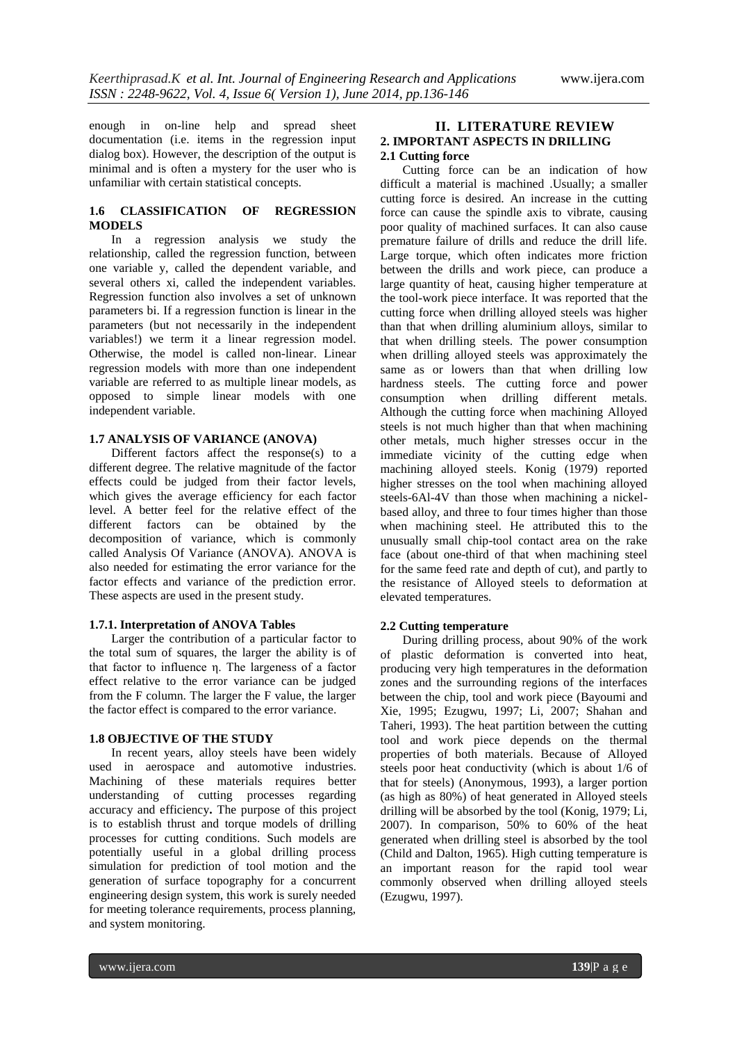enough in on-line help and spread sheet documentation (i.e. items in the regression input dialog box). However, the description of the output is minimal and is often a mystery for the user who is unfamiliar with certain statistical concepts.

### **1.6 CLASSIFICATION OF REGRESSION MODELS**

In a regression analysis we study the relationship, called the regression function, between one variable y, called the dependent variable, and several others xi, called the independent variables. Regression function also involves a set of unknown parameters bi. If a regression function is linear in the parameters (but not necessarily in the independent variables!) we term it a linear regression model. Otherwise, the model is called non-linear. Linear regression models with more than one independent variable are referred to as multiple linear models, as opposed to simple linear models with one independent variable.

### **1.7 ANALYSIS OF VARIANCE (ANOVA)**

Different factors affect the response(s) to a different degree. The relative magnitude of the factor effects could be judged from their factor levels, which gives the average efficiency for each factor level. A better feel for the relative effect of the different factors can be obtained by the decomposition of variance, which is commonly called Analysis Of Variance (ANOVA). ANOVA is also needed for estimating the error variance for the factor effects and variance of the prediction error. These aspects are used in the present study.

### **1.7.1. Interpretation of ANOVA Tables**

Larger the contribution of a particular factor to the total sum of squares, the larger the ability is of that factor to influence η. The largeness of a factor effect relative to the error variance can be judged from the F column. The larger the F value, the larger the factor effect is compared to the error variance.

### **1.8 OBJECTIVE OF THE STUDY**

In recent years, alloy steels have been widely used in aerospace and automotive industries. Machining of these materials requires better understanding of cutting processes regarding accuracy and efficiency**.** The purpose of this project is to establish thrust and torque models of drilling processes for cutting conditions. Such models are potentially useful in a global drilling process simulation for prediction of tool motion and the generation of surface topography for a concurrent engineering design system, this work is surely needed for meeting tolerance requirements, process planning, and system monitoring.

### **II. LITERATURE REVIEW 2. IMPORTANT ASPECTS IN DRILLING 2.1 Cutting force**

Cutting force can be an indication of how difficult a material is machined .Usually; a smaller cutting force is desired. An increase in the cutting force can cause the spindle axis to vibrate, causing poor quality of machined surfaces. It can also cause premature failure of drills and reduce the drill life. Large torque, which often indicates more friction between the drills and work piece, can produce a large quantity of heat, causing higher temperature at the tool-work piece interface. It was reported that the cutting force when drilling alloyed steels was higher than that when drilling aluminium alloys, similar to that when drilling steels. The power consumption when drilling alloyed steels was approximately the same as or lowers than that when drilling low hardness steels. The cutting force and power consumption when drilling different metals. Although the cutting force when machining Alloyed steels is not much higher than that when machining other metals, much higher stresses occur in the immediate vicinity of the cutting edge when machining alloyed steels. Konig (1979) reported higher stresses on the tool when machining alloyed steels-6Al-4V than those when machining a nickelbased alloy, and three to four times higher than those when machining steel. He attributed this to the unusually small chip-tool contact area on the rake face (about one-third of that when machining steel for the same feed rate and depth of cut), and partly to the resistance of Alloyed steels to deformation at elevated temperatures.

### **2.2 Cutting temperature**

During drilling process, about 90% of the work of plastic deformation is converted into heat, producing very high temperatures in the deformation zones and the surrounding regions of the interfaces between the chip, tool and work piece (Bayoumi and Xie, 1995; Ezugwu, 1997; Li, 2007; Shahan and Taheri, 1993). The heat partition between the cutting tool and work piece depends on the thermal properties of both materials. Because of Alloyed steels poor heat conductivity (which is about 1/6 of that for steels) (Anonymous, 1993), a larger portion (as high as 80%) of heat generated in Alloyed steels drilling will be absorbed by the tool (Konig, 1979; Li, 2007). In comparison, 50% to 60% of the heat generated when drilling steel is absorbed by the tool (Child and Dalton, 1965). High cutting temperature is an important reason for the rapid tool wear commonly observed when drilling alloyed steels (Ezugwu, 1997).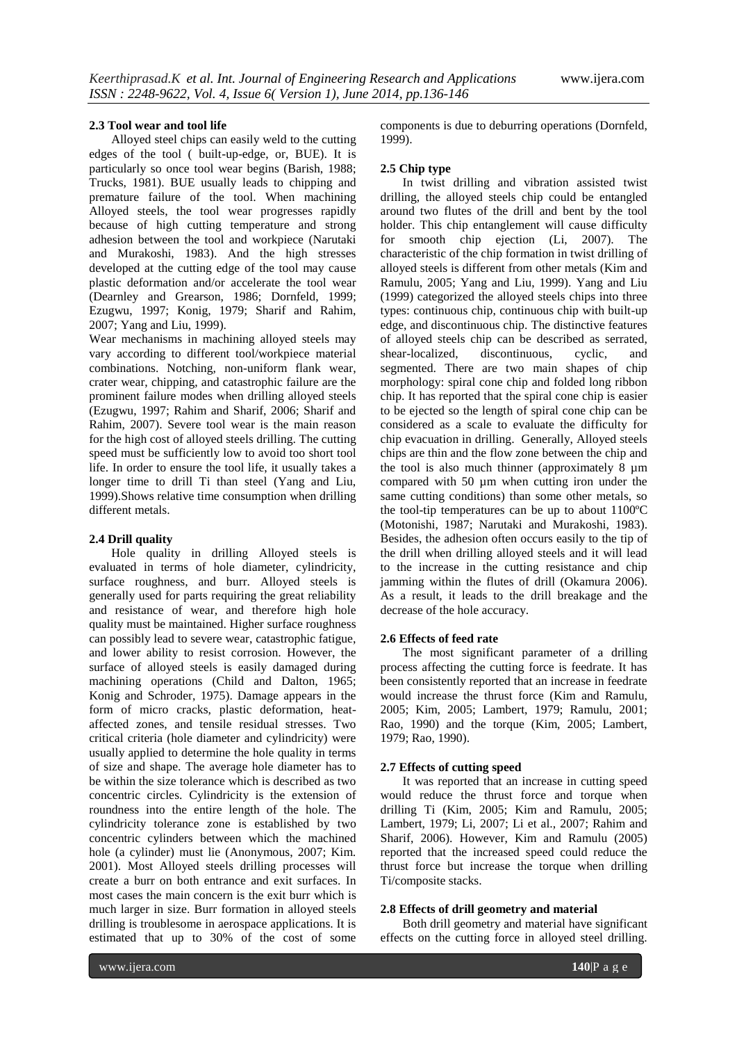#### **2.3 Tool wear and tool life**

Alloyed steel chips can easily weld to the cutting edges of the tool ( built-up-edge, or, BUE). It is particularly so once tool wear begins (Barish, 1988; Trucks, 1981). BUE usually leads to chipping and premature failure of the tool. When machining Alloyed steels, the tool wear progresses rapidly because of high cutting temperature and strong adhesion between the tool and workpiece (Narutaki and Murakoshi, 1983). And the high stresses developed at the cutting edge of the tool may cause plastic deformation and/or accelerate the tool wear (Dearnley and Grearson, 1986; Dornfeld, 1999; Ezugwu, 1997; Konig, 1979; Sharif and Rahim, 2007; Yang and Liu, 1999).

Wear mechanisms in machining alloyed steels may vary according to different tool/workpiece material combinations. Notching, non-uniform flank wear, crater wear, chipping, and catastrophic failure are the prominent failure modes when drilling alloyed steels (Ezugwu, 1997; Rahim and Sharif, 2006; Sharif and Rahim, 2007). Severe tool wear is the main reason for the high cost of alloyed steels drilling. The cutting speed must be sufficiently low to avoid too short tool life. In order to ensure the tool life, it usually takes a longer time to drill Ti than steel (Yang and Liu, 1999).Shows relative time consumption when drilling different metals.

#### **2.4 Drill quality**

Hole quality in drilling Alloyed steels is evaluated in terms of hole diameter, cylindricity, surface roughness, and burr. Alloyed steels is generally used for parts requiring the great reliability and resistance of wear, and therefore high hole quality must be maintained. Higher surface roughness can possibly lead to severe wear, catastrophic fatigue, and lower ability to resist corrosion. However, the surface of alloyed steels is easily damaged during machining operations (Child and Dalton, 1965; Konig and Schroder, 1975). Damage appears in the form of micro cracks, plastic deformation, heataffected zones, and tensile residual stresses. Two critical criteria (hole diameter and cylindricity) were usually applied to determine the hole quality in terms of size and shape. The average hole diameter has to be within the size tolerance which is described as two concentric circles. Cylindricity is the extension of roundness into the entire length of the hole. The cylindricity tolerance zone is established by two concentric cylinders between which the machined hole (a cylinder) must lie (Anonymous, 2007; Kim. 2001). Most Alloyed steels drilling processes will create a burr on both entrance and exit surfaces. In most cases the main concern is the exit burr which is much larger in size. Burr formation in alloyed steels drilling is troublesome in aerospace applications. It is estimated that up to 30% of the cost of some

components is due to deburring operations (Dornfeld, 1999).

#### **2.5 Chip type**

In twist drilling and vibration assisted twist drilling, the alloyed steels chip could be entangled around two flutes of the drill and bent by the tool holder. This chip entanglement will cause difficulty for smooth chip ejection (Li, 2007). The characteristic of the chip formation in twist drilling of alloyed steels is different from other metals (Kim and Ramulu, 2005; Yang and Liu, 1999). Yang and Liu (1999) categorized the alloyed steels chips into three types: continuous chip, continuous chip with built-up edge, and discontinuous chip. The distinctive features of alloyed steels chip can be described as serrated, shear-localized, discontinuous, cyclic, and segmented. There are two main shapes of chip morphology: spiral cone chip and folded long ribbon chip. It has reported that the spiral cone chip is easier to be ejected so the length of spiral cone chip can be considered as a scale to evaluate the difficulty for chip evacuation in drilling. Generally, Alloyed steels chips are thin and the flow zone between the chip and the tool is also much thinner (approximately 8 µm compared with 50 µm when cutting iron under the same cutting conditions) than some other metals, so the tool-tip temperatures can be up to about 1100ºC (Motonishi, 1987; Narutaki and Murakoshi, 1983). Besides, the adhesion often occurs easily to the tip of the drill when drilling alloyed steels and it will lead to the increase in the cutting resistance and chip jamming within the flutes of drill (Okamura 2006). As a result, it leads to the drill breakage and the decrease of the hole accuracy.

#### **2.6 Effects of feed rate**

The most significant parameter of a drilling process affecting the cutting force is feedrate. It has been consistently reported that an increase in feedrate would increase the thrust force (Kim and Ramulu, 2005; Kim, 2005; Lambert, 1979; Ramulu, 2001; Rao, 1990) and the torque (Kim, 2005; Lambert, 1979; Rao, 1990).

#### **2.7 Effects of cutting speed**

It was reported that an increase in cutting speed would reduce the thrust force and torque when drilling Ti (Kim, 2005; Kim and Ramulu, 2005; Lambert, 1979; Li, 2007; Li et al., 2007; Rahim and Sharif, 2006). However, Kim and Ramulu (2005) reported that the increased speed could reduce the thrust force but increase the torque when drilling Ti/composite stacks.

#### **2.8 Effects of drill geometry and material**

Both drill geometry and material have significant effects on the cutting force in alloyed steel drilling.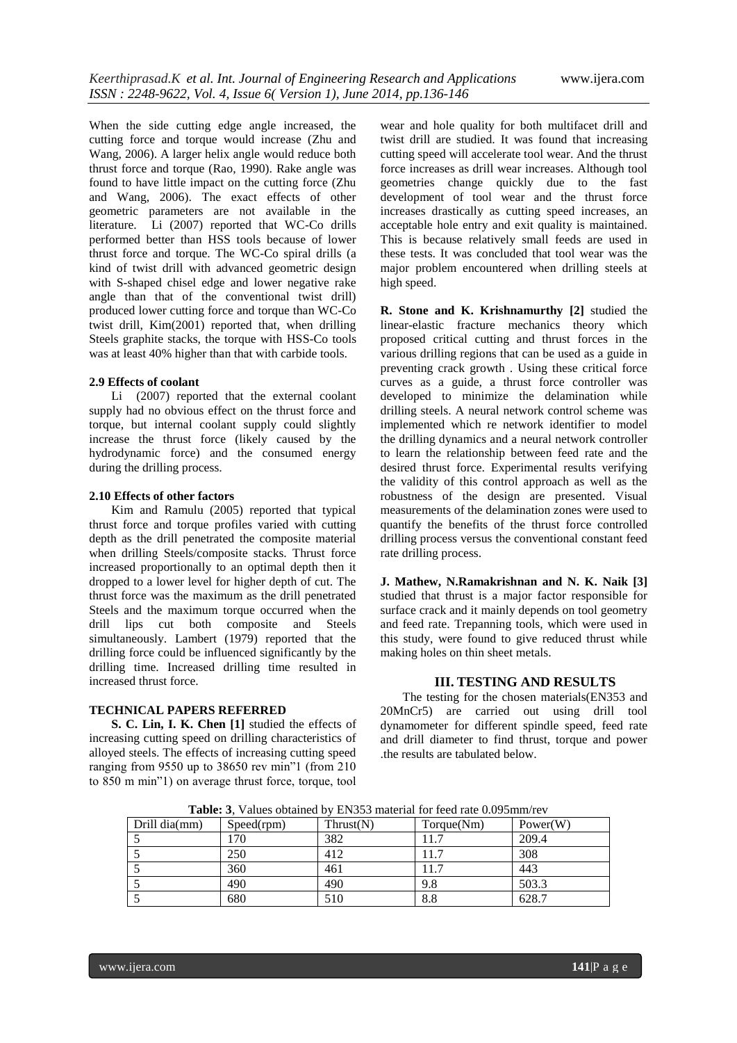When the side cutting edge angle increased, the cutting force and torque would increase (Zhu and Wang, 2006). A larger helix angle would reduce both thrust force and torque (Rao, 1990). Rake angle was found to have little impact on the cutting force (Zhu and Wang, 2006). The exact effects of other geometric parameters are not available in the literature. Li (2007) reported that WC-Co drills performed better than HSS tools because of lower thrust force and torque. The WC-Co spiral drills (a kind of twist drill with advanced geometric design with S-shaped chisel edge and lower negative rake angle than that of the conventional twist drill) produced lower cutting force and torque than WC-Co twist drill, Kim(2001) reported that, when drilling Steels graphite stacks, the torque with HSS-Co tools was at least 40% higher than that with carbide tools.

### **2.9 Effects of coolant**

Li (2007) reported that the external coolant supply had no obvious effect on the thrust force and torque, but internal coolant supply could slightly increase the thrust force (likely caused by the hydrodynamic force) and the consumed energy during the drilling process.

#### **2.10 Effects of other factors**

Kim and Ramulu (2005) reported that typical thrust force and torque profiles varied with cutting depth as the drill penetrated the composite material when drilling Steels/composite stacks. Thrust force increased proportionally to an optimal depth then it dropped to a lower level for higher depth of cut. The thrust force was the maximum as the drill penetrated Steels and the maximum torque occurred when the drill lips cut both composite and Steels simultaneously. Lambert (1979) reported that the drilling force could be influenced significantly by the drilling time. Increased drilling time resulted in increased thrust force.

### **TECHNICAL PAPERS REFERRED**

**S. C. Lin, I. K. Chen [1]** studied the effects of increasing cutting speed on drilling characteristics of alloyed steels. The effects of increasing cutting speed ranging from 9550 up to 38650 rev min"1 (from 210 to 850 m min"1) on average thrust force, torque, tool

wear and hole quality for both multifacet drill and twist drill are studied. It was found that increasing cutting speed will accelerate tool wear. And the thrust force increases as drill wear increases. Although tool geometries change quickly due to the fast development of tool wear and the thrust force increases drastically as cutting speed increases, an acceptable hole entry and exit quality is maintained. This is because relatively small feeds are used in these tests. It was concluded that tool wear was the major problem encountered when drilling steels at high speed.

**R. Stone and K. Krishnamurthy [2]** studied the linear-elastic fracture mechanics theory which proposed critical cutting and thrust forces in the various drilling regions that can be used as a guide in preventing crack growth . Using these critical force curves as a guide, a thrust force controller was developed to minimize the delamination while drilling steels. A neural network control scheme was implemented which re network identifier to model the drilling dynamics and a neural network controller to learn the relationship between feed rate and the desired thrust force. Experimental results verifying the validity of this control approach as well as the robustness of the design are presented. Visual measurements of the delamination zones were used to quantify the benefits of the thrust force controlled drilling process versus the conventional constant feed rate drilling process.

**J. Mathew, N.Ramakrishnan and N. K. Naik [3]** studied that thrust is a major factor responsible for surface crack and it mainly depends on tool geometry and feed rate. Trepanning tools, which were used in this study, were found to give reduced thrust while making holes on thin sheet metals.

### **III. TESTING AND RESULTS**

The testing for the chosen materials(EN353 and 20MnCr5) are carried out using drill tool dynamometer for different spindle speed, feed rate and drill diameter to find thrust, torque and power .the results are tabulated below.

**Table: 3**, Values obtained by EN353 material for feed rate 0.095mm/rev

| Drill dia(mm) | Speed(rpm) | Thrust(N) | Torque(Nm) | Power(W) |
|---------------|------------|-----------|------------|----------|
|               | 170        | 382       |            | 209.4    |
|               | 250        | 412       |            | 308      |
|               | 360        | 461       | 11.7       | 443      |
|               | 490        | 490       | 9.8        | 503.3    |
|               | 680        | 510       | 8.8        | 628.7    |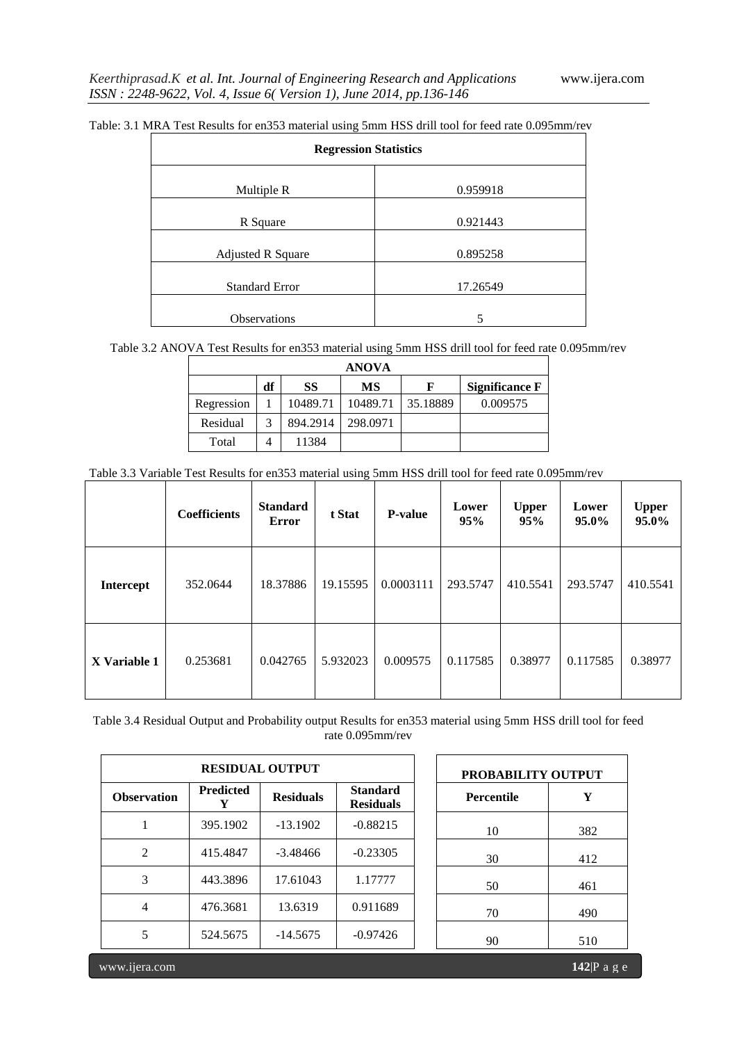| <b>Regression Statistics</b> |          |  |  |  |
|------------------------------|----------|--|--|--|
| Multiple R                   | 0.959918 |  |  |  |
| R Square                     | 0.921443 |  |  |  |
| <b>Adjusted R Square</b>     | 0.895258 |  |  |  |
| <b>Standard Error</b>        | 17.26549 |  |  |  |
| Observations                 | 5        |  |  |  |

Table: 3.1 MRA Test Results for en353 material using 5mm HSS drill tool for feed rate 0.095mm/rev

Table 3.2 ANOVA Test Results for en353 material using 5mm HSS drill tool for feed rate 0.095mm/rev

| <b>ANOVA</b> |    |           |           |          |                       |  |  |  |
|--------------|----|-----------|-----------|----------|-----------------------|--|--|--|
|              | df | <b>SS</b> | <b>MS</b> | F        | <b>Significance F</b> |  |  |  |
| Regression   |    | 10489.71  | 10489.71  | 35.18889 | 0.009575              |  |  |  |
| Residual     | 3  | 894.2914  | 298.0971  |          |                       |  |  |  |
| Total        | 4  | 11384     |           |          |                       |  |  |  |

| Table 3.3 Variable Test Results for en353 material using 5mm HSS drill tool for feed rate 0.095mm/rev |  |  |  |  |  |  |  |  |
|-------------------------------------------------------------------------------------------------------|--|--|--|--|--|--|--|--|
|                                                                                                       |  |  |  |  |  |  |  |  |

|                  | <b>Coefficients</b> | <b>Standard</b><br><b>Error</b> | t Stat   | <b>P-value</b> | Lower<br>95% | <b>Upper</b><br>95% | Lower<br>95.0% | <b>Upper</b><br>95.0% |
|------------------|---------------------|---------------------------------|----------|----------------|--------------|---------------------|----------------|-----------------------|
| <b>Intercept</b> | 352.0644            | 18.37886                        | 19.15595 | 0.0003111      | 293.5747     | 410.5541            | 293.5747       | 410.5541              |
| X Variable 1     | 0.253681            | 0.042765                        | 5.932023 | 0.009575       | 0.117585     | 0.38977             | 0.117585       | 0.38977               |

Table 3.4 Residual Output and Probability output Results for en353 material using 5mm HSS drill tool for feed rate 0.095mm/rev

|                    | <b>RESIDUAL OUTPUT</b> | <b>PROBABILITY OUTPUT</b> |                                     |                   |     |
|--------------------|------------------------|---------------------------|-------------------------------------|-------------------|-----|
| <b>Observation</b> | <b>Predicted</b>       | <b>Residuals</b>          | <b>Standard</b><br><b>Residuals</b> | <b>Percentile</b> |     |
| 1                  | 395.1902               | $-13.1902$                | $-0.88215$                          | 10                | 382 |
| $\mathfrak{D}$     | 415.4847               | $-3.48466$                | $-0.23305$                          | 30                | 412 |
| 3                  | 443.3896               | 17.61043                  | 1.17777                             | 50                | 461 |
| 4                  | 476.3681               | 13.6319                   | 0.911689                            | 70                | 490 |
| 5                  | 524.5675               | $-14.5675$                | $-0.97426$                          | 90                | 510 |

|                                     | <b>PROBABILITY OUTPUT</b> |     |
|-------------------------------------|---------------------------|-----|
| <b>Standard</b><br><b>Residuals</b> | <b>Percentile</b>         | Y   |
| $-0.88215$                          | 10                        | 382 |
| $-0.23305$                          | 30                        | 412 |
| 1.17777                             | 50                        | 461 |
| 0.911689                            | 70                        | 490 |
| $-0.97426$                          | 90                        | 510 |

www.ijera.com **142**|P a g e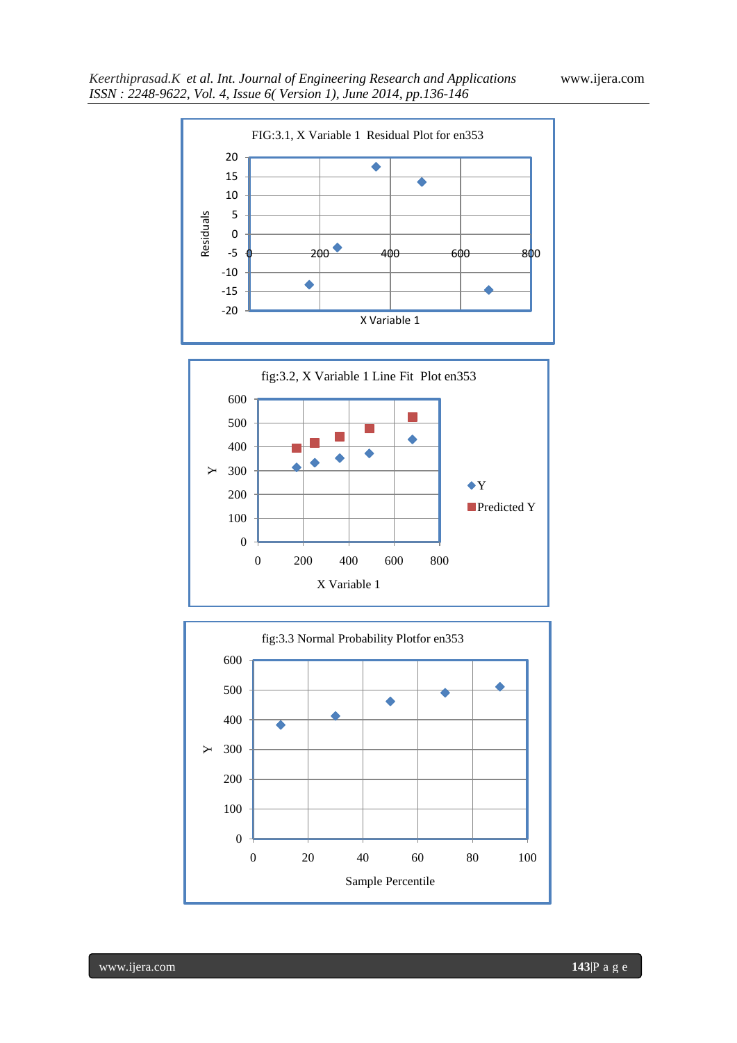



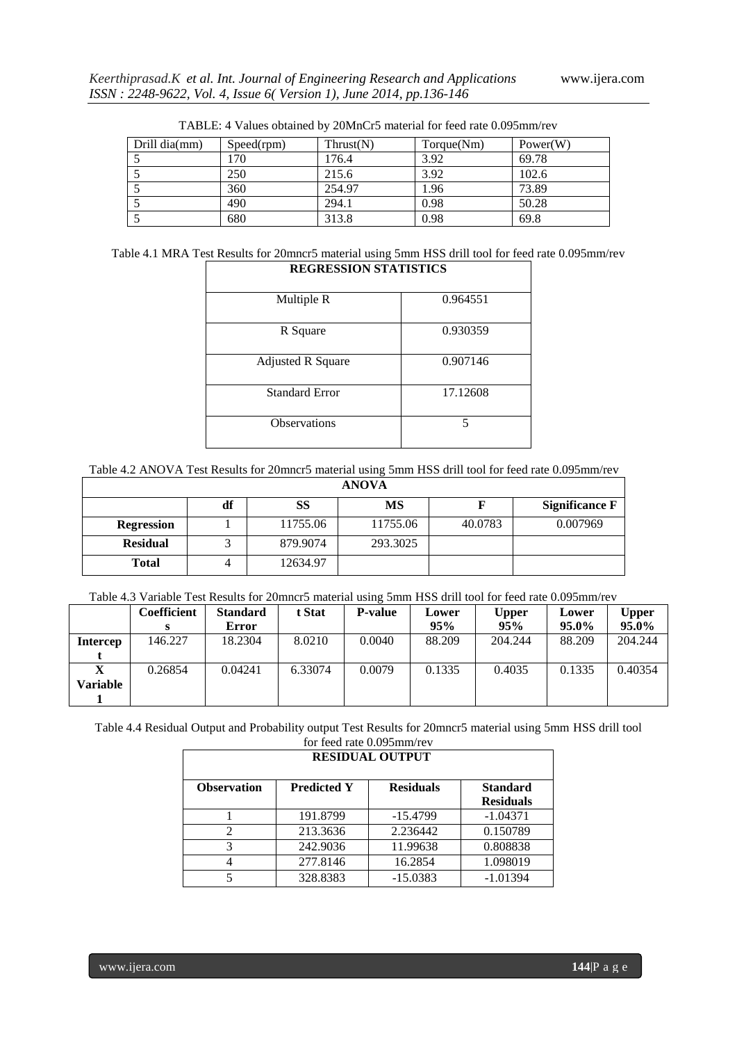| Drill dia(mm) | Speed(rpm) | Thrust(N) | Torque(Nm) | Power(W) |
|---------------|------------|-----------|------------|----------|
|               | 170.       | 176.4     | 3.92       | 69.78    |
|               | 250        | 215.6     | 3.92       | 102.6    |
|               | 360        | 254.97    | 1.96       | 73.89    |
|               | 490        | 294.1     | 0.98       | 50.28    |
|               | 680        | 313.8     | 0.98       | 69.8     |

TABLE: 4 Values obtained by 20MnCr5 material for feed rate 0.095mm/rev

| Table 4.1 MRA Test Results for 20mncr5 material using 5mm HSS drill tool for feed rate 0.095mm/rev |  |
|----------------------------------------------------------------------------------------------------|--|
| <b>REGRESSION STATISTICS</b>                                                                       |  |

| Multiple R               | 0.964551 |
|--------------------------|----------|
| R Square                 | 0.930359 |
| <b>Adjusted R Square</b> | 0.907146 |
| <b>Standard Error</b>    | 17.12608 |
| <b>Observations</b>      | 5        |

| <b>ANOVA</b>      |    |          |           |         |                       |  |  |
|-------------------|----|----------|-----------|---------|-----------------------|--|--|
|                   | df | SS       | <b>MS</b> |         | <b>Significance F</b> |  |  |
| <b>Regression</b> |    | 11755.06 | 11755.06  | 40.0783 | 0.007969              |  |  |
| <b>Residual</b>   |    | 879.9074 | 293.3025  |         |                       |  |  |
| <b>Total</b>      |    | 12634.97 |           |         |                       |  |  |

Table 4.3 Variable Test Results for 20mncr5 material using 5mm HSS drill tool for feed rate 0.095mm/rev

|                        | Coefficient | <b>Standard</b> | t Stat  | <b>P-value</b> | Lower  | <b>Upper</b> | Lower  | <b>Upper</b> |
|------------------------|-------------|-----------------|---------|----------------|--------|--------------|--------|--------------|
|                        |             | Error           |         |                | 95%    | 95%          | 95.0%  | 95.0%        |
| Intercep               | 146.227     | 18.2304         | 8.0210  | 0.0040         | 88.209 | 204.244      | 88.209 | 204.244      |
|                        |             |                 |         |                |        |              |        |              |
| $\boldsymbol{\Lambda}$ | 0.26854     | 0.04241         | 6.33074 | 0.0079         | 0.1335 | 0.4035       | 0.1335 | 0.40354      |
| Variable               |             |                 |         |                |        |              |        |              |
|                        |             |                 |         |                |        |              |        |              |

Table 4.4 Residual Output and Probability output Test Results for 20mncr5 material using 5mm HSS drill tool for feed rate 0.095mm/rev

| <b>RESIDUAL OUTPUT</b> |                    |                  |                                     |  |  |  |  |
|------------------------|--------------------|------------------|-------------------------------------|--|--|--|--|
| <b>Observation</b>     | <b>Predicted Y</b> | <b>Residuals</b> | <b>Standard</b><br><b>Residuals</b> |  |  |  |  |
|                        | 191.8799           | $-15.4799$       | $-1.04371$                          |  |  |  |  |
|                        | 213.3636           | 2.236442         | 0.150789                            |  |  |  |  |
|                        | 242.9036           | 11.99638         | 0.808838                            |  |  |  |  |
|                        | 277.8146           | 16.2854          | 1.098019                            |  |  |  |  |
|                        | 328.8383           | $-15.0383$       | $-1.01394$                          |  |  |  |  |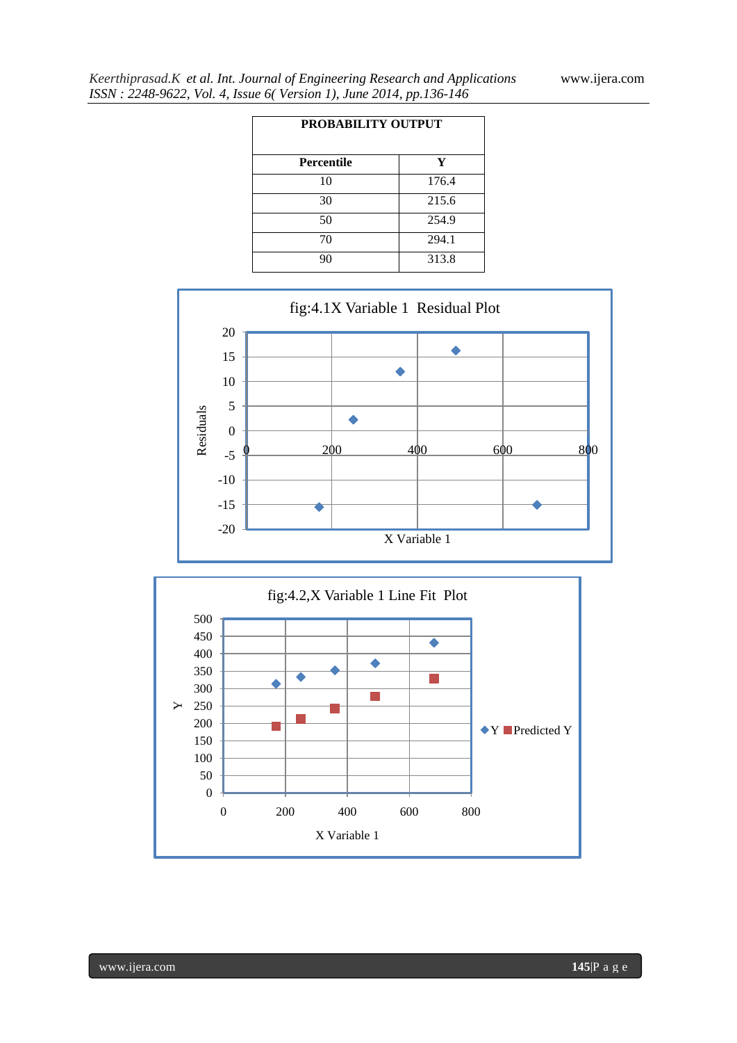| <b>PROBABILITY OUTPUT</b> |       |  |  |  |  |
|---------------------------|-------|--|--|--|--|
| <b>Percentile</b>         | Y     |  |  |  |  |
| 10                        | 176.4 |  |  |  |  |
| 30                        | 215.6 |  |  |  |  |
| 50                        | 254.9 |  |  |  |  |
| 70                        | 294.1 |  |  |  |  |
| 90                        | 313.8 |  |  |  |  |





www.ijera.com **145**|P a g e